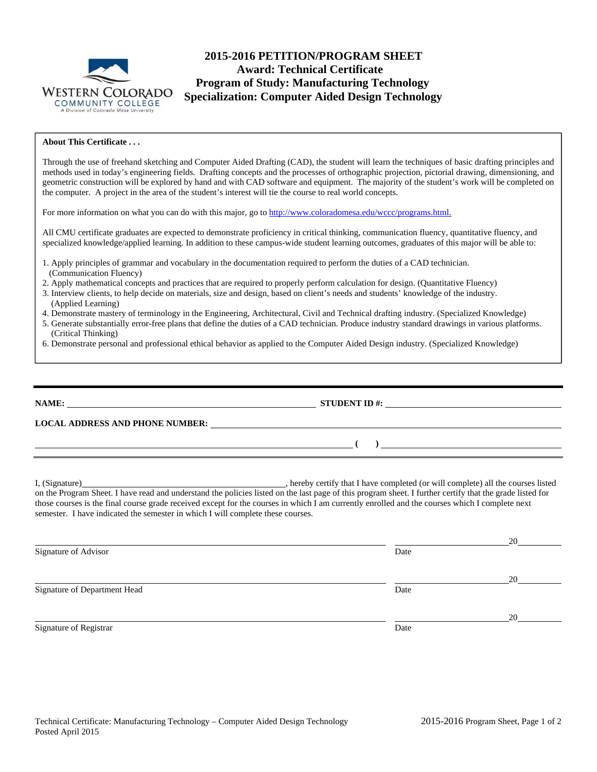

# **2015-2016 PETITION/PROGRAM SHEET Award: Technical Certificate Program of Study: Manufacturing Technology Specialization: Computer Aided Design Technology**

#### **About This Certificate . . .**

Through the use of freehand sketching and Computer Aided Drafting (CAD), the student will learn the techniques of basic drafting principles and methods used in today's engineering fields. Drafting concepts and the processes of orthographic projection, pictorial drawing, dimensioning, and geometric construction will be explored by hand and with CAD software and equipment. The majority of the student's work will be completed on the computer. A project in the area of the student's interest will tie the course to real world concepts.

For more information on what you can do with this major, go to http://www.coloradomesa.edu/wccc/programs.html.

All CMU certificate graduates are expected to demonstrate proficiency in critical thinking, communication fluency, quantitative fluency, and specialized knowledge/applied learning. In addition to these campus-wide student learning outcomes, graduates of this major will be able to:

- 1. Apply principles of grammar and vocabulary in the documentation required to perform the duties of a CAD technician. (Communication Fluency)
- 2. Apply mathematical concepts and practices that are required to properly perform calculation for design. (Quantitative Fluency)
- 3. Interview clients, to help decide on materials, size and design, based on client's needs and students' knowledge of the industry. (Applied Learning)
- 4. Demonstrate mastery of terminology in the Engineering, Architectural, Civil and Technical drafting industry. (Specialized Knowledge)
- 5. Generate substantially error-free plans that define the duties of a CAD technician. Produce industry standard drawings in various platforms. (Critical Thinking)
- 6. Demonstrate personal and professional ethical behavior as applied to the Computer Aided Design industry. (Specialized Knowledge)

**NAME: STUDENT ID #: LOCAL ADDRESS AND PHONE NUMBER: ( )** 

I, (Signature) , hereby certify that I have completed (or will complete) all the courses listed on the Program Sheet. I have read and understand the policies listed on the last page of this program sheet. I further certify that the grade listed for those courses is the final course grade received except for the courses in which I am currently enrolled and the courses which I complete next semester. I have indicated the semester in which I will complete these courses.

|                              |      | 20 |
|------------------------------|------|----|
| Signature of Advisor         | Date |    |
|                              |      | 20 |
| Signature of Department Head | Date |    |
|                              |      | 20 |
| Signature of Registrar       | Date |    |